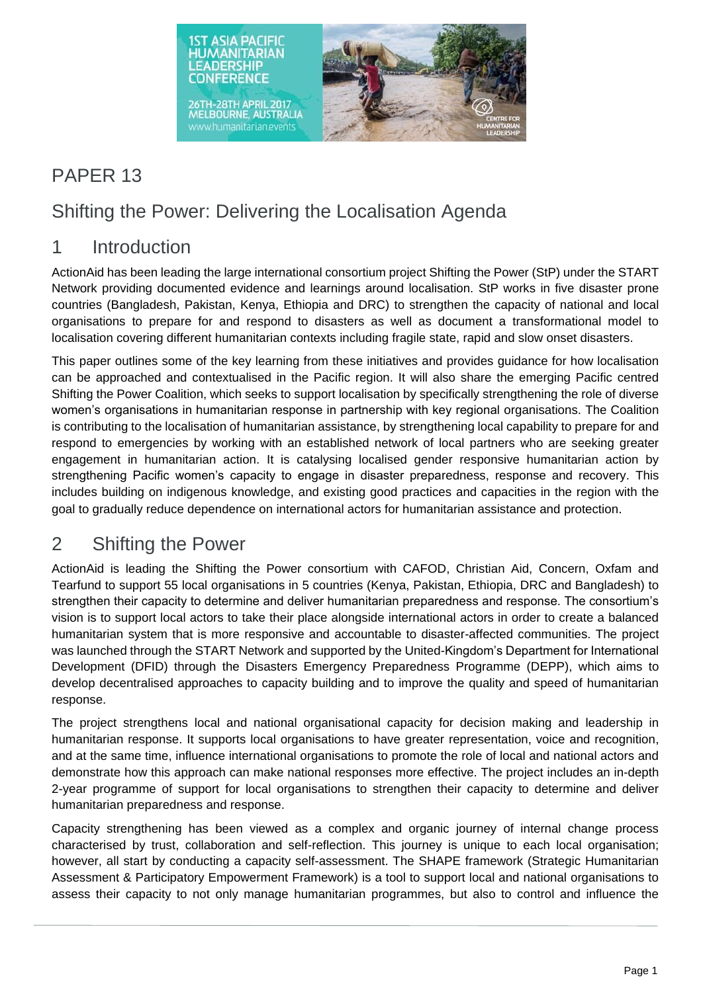

# PAPER 13

## Shifting the Power: Delivering the Localisation Agenda

#### 1 Introduction

ActionAid has been leading the large international consortium project Shifting the Power (StP) under the START Network providing documented evidence and learnings around localisation. StP works in five disaster prone countries (Bangladesh, Pakistan, Kenya, Ethiopia and DRC) to strengthen the capacity of national and local organisations to prepare for and respond to disasters as well as document a transformational model to localisation covering different humanitarian contexts including fragile state, rapid and slow onset disasters.

This paper outlines some of the key learning from these initiatives and provides guidance for how localisation can be approached and contextualised in the Pacific region. It will also share the emerging Pacific centred Shifting the Power Coalition, which seeks to support localisation by specifically strengthening the role of diverse women's organisations in humanitarian response in partnership with key regional organisations. The Coalition is contributing to the localisation of humanitarian assistance, by strengthening local capability to prepare for and respond to emergencies by working with an established network of local partners who are seeking greater engagement in humanitarian action. It is catalysing localised gender responsive humanitarian action by strengthening Pacific women's capacity to engage in disaster preparedness, response and recovery. This includes building on indigenous knowledge, and existing good practices and capacities in the region with the goal to gradually reduce dependence on international actors for humanitarian assistance and protection.

## 2 Shifting the Power

ActionAid is leading the Shifting the Power consortium with CAFOD, Christian Aid, Concern, Oxfam and Tearfund to support 55 local organisations in 5 countries (Kenya, Pakistan, Ethiopia, DRC and Bangladesh) to strengthen their capacity to determine and deliver humanitarian preparedness and response. The consortium's vision is to support local actors to take their place alongside international actors in order to create a balanced humanitarian system that is more responsive and accountable to disaster-affected communities. The project was launched through the START Network and supported by the United-Kingdom's Department for International Development (DFID) through the Disasters Emergency Preparedness Programme (DEPP), which aims to develop decentralised approaches to capacity building and to improve the quality and speed of humanitarian response.

The project strengthens local and national organisational capacity for decision making and leadership in humanitarian response. It supports local organisations to have greater representation, voice and recognition, and at the same time, influence international organisations to promote the role of local and national actors and demonstrate how this approach can make national responses more effective. The project includes an in-depth 2-year programme of support for local organisations to strengthen their capacity to determine and deliver humanitarian preparedness and response.

Capacity strengthening has been viewed as a complex and organic journey of internal change process characterised by trust, collaboration and self-reflection. This journey is unique to each local organisation; however, all start by conducting a capacity self-assessment. The SHAPE framework (Strategic Humanitarian Assessment & Participatory Empowerment Framework) is a tool to support local and national organisations to assess their capacity to not only manage humanitarian programmes, but also to control and influence the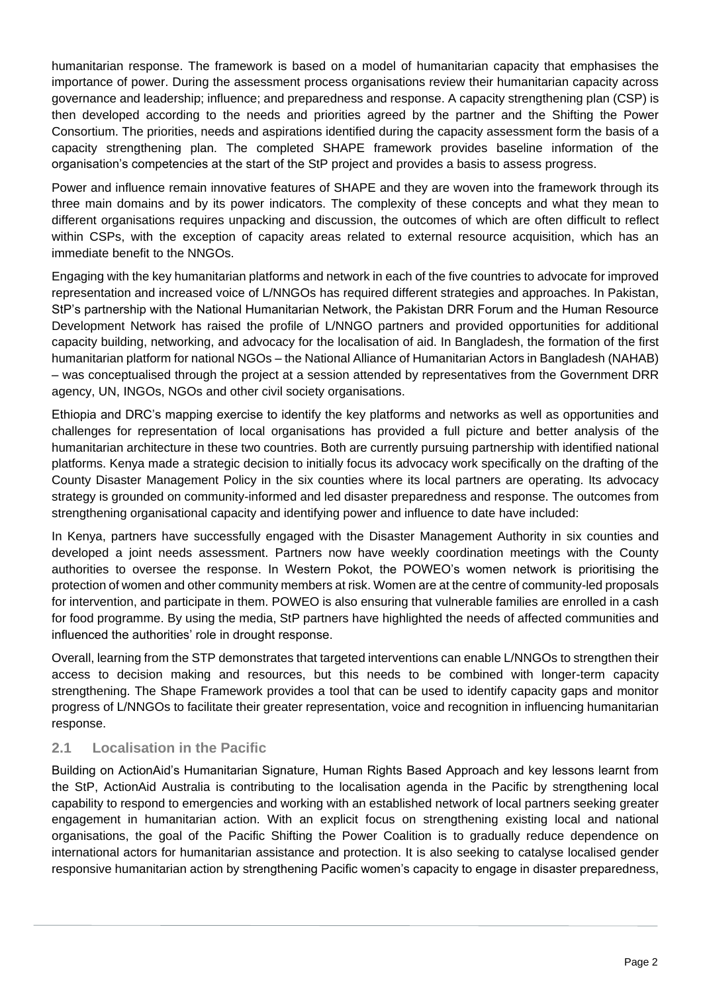humanitarian response. The framework is based on a model of humanitarian capacity that emphasises the importance of power. During the assessment process organisations review their humanitarian capacity across governance and leadership; influence; and preparedness and response. A capacity strengthening plan (CSP) is then developed according to the needs and priorities agreed by the partner and the Shifting the Power Consortium. The priorities, needs and aspirations identified during the capacity assessment form the basis of a capacity strengthening plan. The completed SHAPE framework provides baseline information of the organisation's competencies at the start of the StP project and provides a basis to assess progress.

Power and influence remain innovative features of SHAPE and they are woven into the framework through its three main domains and by its power indicators. The complexity of these concepts and what they mean to different organisations requires unpacking and discussion, the outcomes of which are often difficult to reflect within CSPs, with the exception of capacity areas related to external resource acquisition, which has an immediate benefit to the NNGOs.

Engaging with the key humanitarian platforms and network in each of the five countries to advocate for improved representation and increased voice of L/NNGOs has required different strategies and approaches. In Pakistan, StP's partnership with the National Humanitarian Network, the Pakistan DRR Forum and the Human Resource Development Network has raised the profile of L/NNGO partners and provided opportunities for additional capacity building, networking, and advocacy for the localisation of aid. In Bangladesh, the formation of the first humanitarian platform for national NGOs – the National Alliance of Humanitarian Actors in Bangladesh (NAHAB) – was conceptualised through the project at a session attended by representatives from the Government DRR agency, UN, INGOs, NGOs and other civil society organisations.

Ethiopia and DRC's mapping exercise to identify the key platforms and networks as well as opportunities and challenges for representation of local organisations has provided a full picture and better analysis of the humanitarian architecture in these two countries. Both are currently pursuing partnership with identified national platforms. Kenya made a strategic decision to initially focus its advocacy work specifically on the drafting of the County Disaster Management Policy in the six counties where its local partners are operating. Its advocacy strategy is grounded on community-informed and led disaster preparedness and response. The outcomes from strengthening organisational capacity and identifying power and influence to date have included:

In Kenya, partners have successfully engaged with the Disaster Management Authority in six counties and developed a joint needs assessment. Partners now have weekly coordination meetings with the County authorities to oversee the response. In Western Pokot, the POWEO's women network is prioritising the protection of women and other community members at risk. Women are at the centre of community-led proposals for intervention, and participate in them. POWEO is also ensuring that vulnerable families are enrolled in a cash for food programme. By using the media, StP partners have highlighted the needs of affected communities and influenced the authorities' role in drought response.

Overall, learning from the STP demonstrates that targeted interventions can enable L/NNGOs to strengthen their access to decision making and resources, but this needs to be combined with longer-term capacity strengthening. The Shape Framework provides a tool that can be used to identify capacity gaps and monitor progress of L/NNGOs to facilitate their greater representation, voice and recognition in influencing humanitarian response.

#### **2.1 Localisation in the Pacific**

Building on ActionAid's Humanitarian Signature, Human Rights Based Approach and key lessons learnt from the StP, ActionAid Australia is contributing to the localisation agenda in the Pacific by strengthening local capability to respond to emergencies and working with an established network of local partners seeking greater engagement in humanitarian action. With an explicit focus on strengthening existing local and national organisations, the goal of the Pacific Shifting the Power Coalition is to gradually reduce dependence on international actors for humanitarian assistance and protection. It is also seeking to catalyse localised gender responsive humanitarian action by strengthening Pacific women's capacity to engage in disaster preparedness,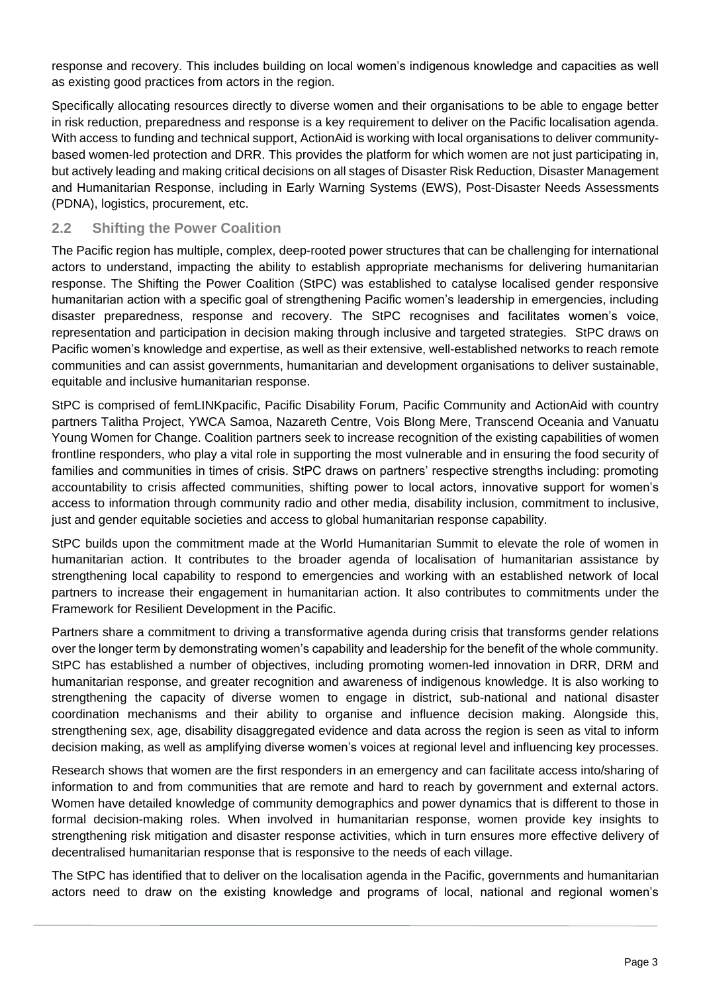response and recovery. This includes building on local women's indigenous knowledge and capacities as well as existing good practices from actors in the region.

Specifically allocating resources directly to diverse women and their organisations to be able to engage better in risk reduction, preparedness and response is a key requirement to deliver on the Pacific localisation agenda. With access to funding and technical support, ActionAid is working with local organisations to deliver communitybased women-led protection and DRR. This provides the platform for which women are not just participating in, but actively leading and making critical decisions on all stages of Disaster Risk Reduction, Disaster Management and Humanitarian Response, including in Early Warning Systems (EWS), Post-Disaster Needs Assessments (PDNA), logistics, procurement, etc.

#### **2.2 Shifting the Power Coalition**

The Pacific region has multiple, complex, deep-rooted power structures that can be challenging for international actors to understand, impacting the ability to establish appropriate mechanisms for delivering humanitarian response. The Shifting the Power Coalition (StPC) was established to catalyse localised gender responsive humanitarian action with a specific goal of strengthening Pacific women's leadership in emergencies, including disaster preparedness, response and recovery. The StPC recognises and facilitates women's voice, representation and participation in decision making through inclusive and targeted strategies. StPC draws on Pacific women's knowledge and expertise, as well as their extensive, well-established networks to reach remote communities and can assist governments, humanitarian and development organisations to deliver sustainable, equitable and inclusive humanitarian response.

StPC is comprised of femLINKpacific, Pacific Disability Forum, Pacific Community and ActionAid with country partners Talitha Project, YWCA Samoa, Nazareth Centre, Vois Blong Mere, Transcend Oceania and Vanuatu Young Women for Change. Coalition partners seek to increase recognition of the existing capabilities of women frontline responders, who play a vital role in supporting the most vulnerable and in ensuring the food security of families and communities in times of crisis. StPC draws on partners' respective strengths including: promoting accountability to crisis affected communities, shifting power to local actors, innovative support for women's access to information through community radio and other media, disability inclusion, commitment to inclusive, just and gender equitable societies and access to global humanitarian response capability.

StPC builds upon the commitment made at the World Humanitarian Summit to elevate the role of women in humanitarian action. It contributes to the broader agenda of localisation of humanitarian assistance by strengthening local capability to respond to emergencies and working with an established network of local partners to increase their engagement in humanitarian action. It also contributes to commitments under the Framework for Resilient Development in the Pacific.

Partners share a commitment to driving a transformative agenda during crisis that transforms gender relations over the longer term by demonstrating women's capability and leadership for the benefit of the whole community. StPC has established a number of objectives, including promoting women-led innovation in DRR, DRM and humanitarian response, and greater recognition and awareness of indigenous knowledge. It is also working to strengthening the capacity of diverse women to engage in district, sub-national and national disaster coordination mechanisms and their ability to organise and influence decision making. Alongside this, strengthening sex, age, disability disaggregated evidence and data across the region is seen as vital to inform decision making, as well as amplifying diverse women's voices at regional level and influencing key processes.

Research shows that women are the first responders in an emergency and can facilitate access into/sharing of information to and from communities that are remote and hard to reach by government and external actors. Women have detailed knowledge of community demographics and power dynamics that is different to those in formal decision-making roles. When involved in humanitarian response, women provide key insights to strengthening risk mitigation and disaster response activities, which in turn ensures more effective delivery of decentralised humanitarian response that is responsive to the needs of each village.

The StPC has identified that to deliver on the localisation agenda in the Pacific, governments and humanitarian actors need to draw on the existing knowledge and programs of local, national and regional women's